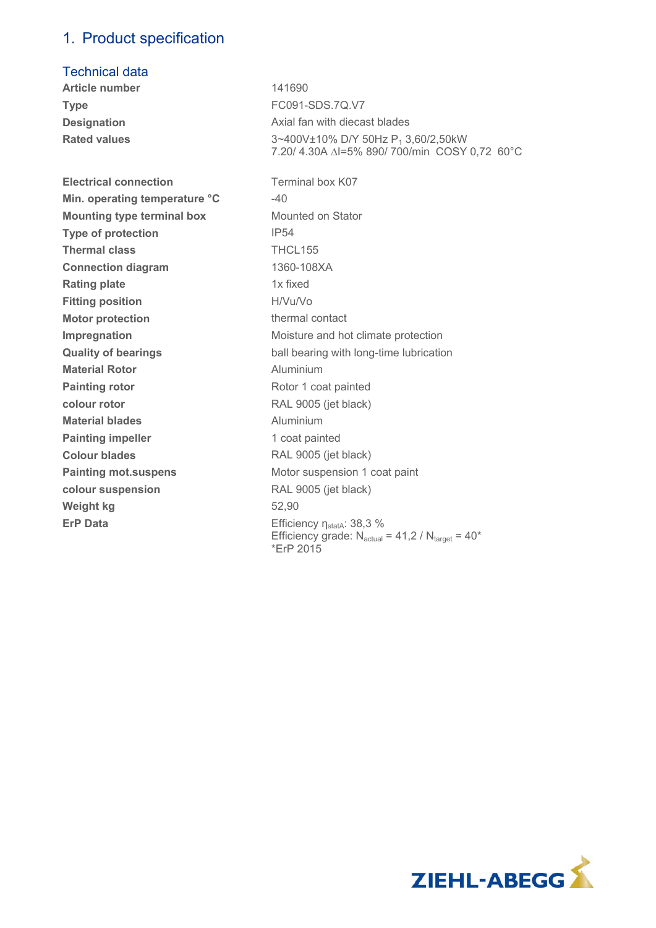### 1. Product specification

### Technical data

**Article number** 141690 **Type** FC091-SDS.7Q.V7 **Designation Designation Axial fan with diecast blades Rated values 3~400V±10% D/Y 50Hz P<sub>1</sub> 3,60/2,50kW** 7.20/ 4.30A ∆I=5% 890/ 700/min COSY 0,72 60°C **Electrical connection Terminal box K07 Min. operating temperature °C**  $-40$ **Mounting type terminal box** Mounted on Stator **Type of protection IP54 Thermal class** THCL155 **Connection diagram** 1360-108XA **Rating plate 1x fixed Fitting position** H/Vu/Vo **Motor protection thermal contact Impregnation Impregnation IMOIS** Moisture and hot climate protection **Quality of bearings ball bearing with long-time lubrication Material Rotor Material Rotor Aluminium Painting rotor Rotor 1 coat painted colour rotor** RAL 9005 (jet black) **Material blades Aluminium Painting impeller** 1 coat painted **Colour blades** RAL 9005 (jet black) **Painting mot.suspens** Motor suspension 1 coat paint **colour suspension** RAL 9005 (jet black) **Weight kg** 52,90 **ErP Data Efficiency**  $n_{\text{stat}}$ **: 38,3 %** Efficiency grade:  $N_{actual} = 41,2 / N_{target} = 40*$ \*ErP 2015

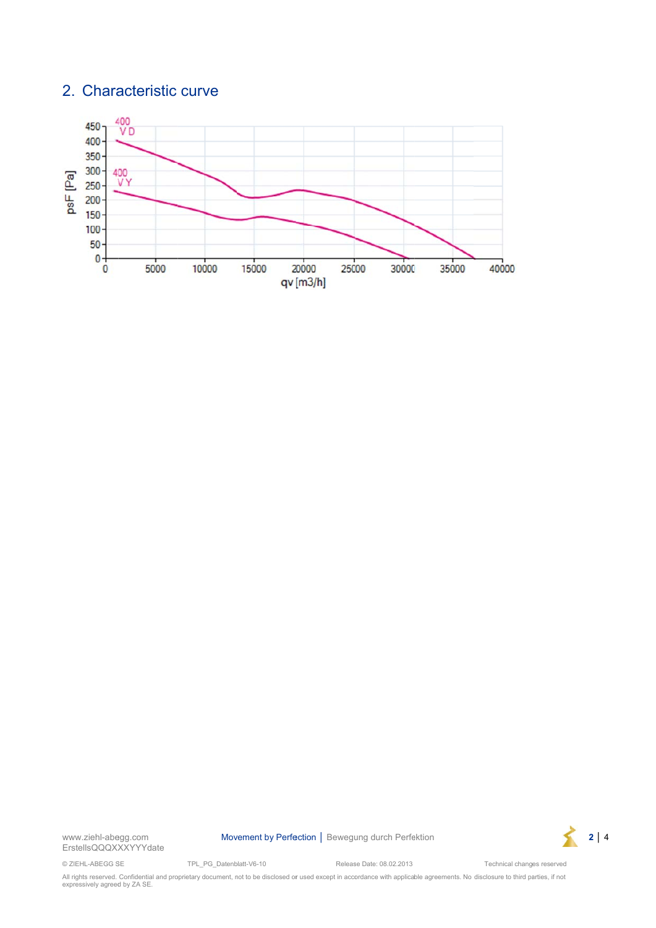## 2. Characteristic curve



www.ziehl-abegg.com ErstellsQQQXXXYYYdate Movement by Perfection | Bewegung durch Perfektion

Release Date: 08.02.2013



© ZIEHL-ABEGG SE

TPL\_PG\_Datenblatt-V6-10 Technical changes reserved All rights reserved. Confidential and proprietary document, not to be disclosed or used except in accordance with applicable agreements. No disclosure to third parties, if not expressively agreed by ZA SE.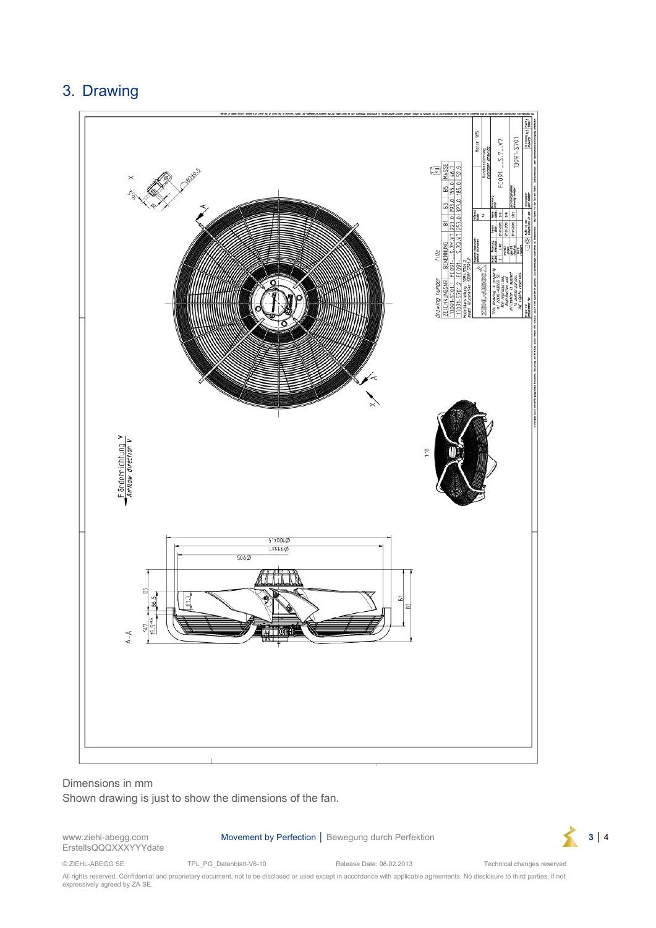# 3. Drawing



#### Dimensions in mm

Shown drawing is just to show the dimensions of the fan.

ErstellsQQQXXXYYYdate

www.ziehl-abegg.com Movement by Perfection │ Bewegung durch Perfektion **3** │ 4



© ZIEHL-ABEGG SE TPL\_PG\_Datenblatt-V6-10 Release Date: 08.02.2013 Technical changes reserved

All rights reserved. Confidential and proprietary document, not to be disclosed or used except in accordance with applicable agreements. No disclosure to third parties, if not expressively agreed by ZA SE.